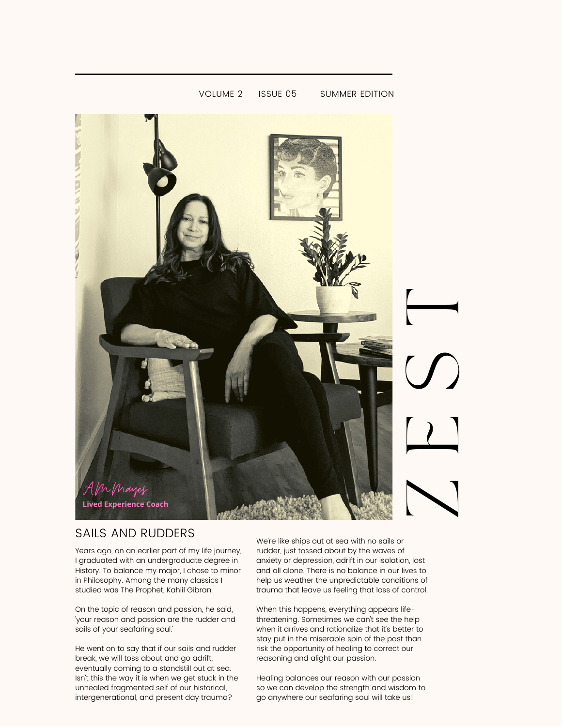

VOLUME 2 ISSUE 05 SUMMER EDITION

### SAILS AND RUDDERS

Years ago, on an earlier part of my life journey, I graduated with an undergraduate degree in History. To balance my major, I chose to minor in Philosophy. Among the many classics I studied was The Prophet, Kahlil Gibran.

On the topic of reason and passion, he said, 'your reason and passion are the rudder and sails of your seafaring soul.'

He went on to say that if our sails and rudder break, we will toss about and go adrift, eventually coming to a standstill out at sea. Isn't this the way it is when we get stuck in the unhealed fragmented self of our historical, intergenerational, and present day trauma?

We're like ships out at sea with no sails or rudder, just tossed about by the waves of anxiety or depression, adrift in our isolation, lost and all alone. There is no balance in our lives to help us weather the unpredictable conditions of trauma that leave us feeling that loss of control.

When this happens, everything appears lifethreatening. Sometimes we can't see the help when it arrives and rationalize that it's better to stay put in the miserable spin of the past than risk the opportunity of healing to correct our reasoning and alight our passion.

Healing balances our reason with our passion so we can develop the strength and wisdom to go anywhere our seafaring soul will take us!